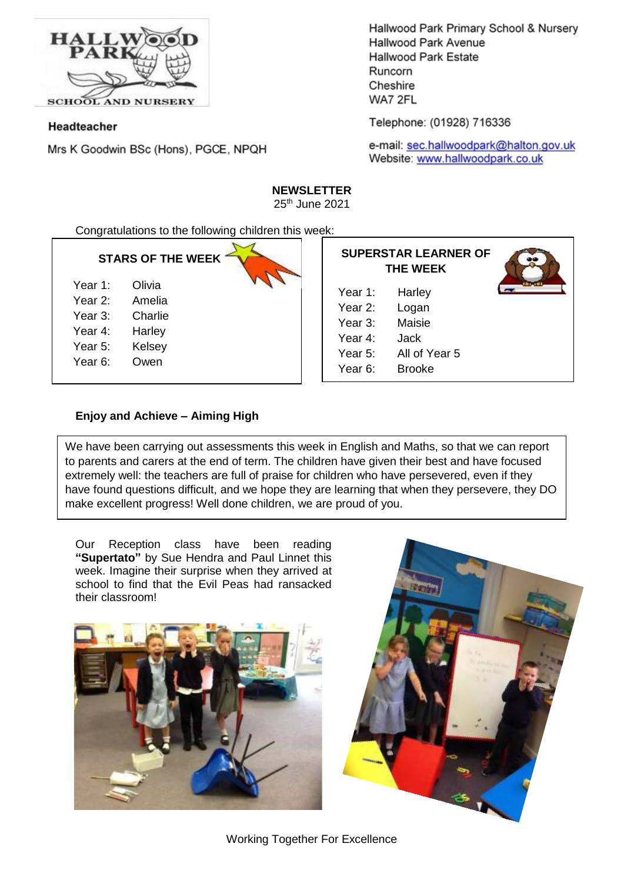

Headteacher

Mrs K Goodwin BSc (Hons), PGCE, NPQH

Hallwood Park Primary School & Nursery Hallwood Park Avenue **Hallwood Park Estate** Runcorn Cheshire WA7 2FL

Telephone: (01928) 716336

e-mail: sec.hallwoodpark@halton.gov.uk Website: www.hallwoodpark.co.uk

# **NEWSLETTER**

25th June 2021

Congratulations to the following children this week:

## **STARS OF THE WEEK**

| Year 1: | Olivia |
|---------|--------|
| Year 2: | Amelia |

- Year 3: Charlie
- 
- Year 4: Harley
- Year 5: Kelsey
- Year 6: Owen

|         | <b>SUPERSTAR LEARNER OF</b><br>THE WEEK |
|---------|-----------------------------------------|
| Year 1: | Harley                                  |
| Year 2: | Logan                                   |
| Year 3: | Maisie                                  |
| Year 4: | <b>Jack</b>                             |
|         |                                         |

**THE WEEK** 1: Harley 2: Logan 3: Maisie 4: Jack Year 5: All of Year 5 Year 6: Brooke

## **Enjoy and Achieve – Aiming High**

We have been carrying out assessments this week in English and Maths, so that we can report to parents and carers at the end of term. The children have given their best and have focused extremely well: the teachers are full of praise for children who have persevered, even if they have found questions difficult, and we hope they are learning that when they persevere, they DO make excellent progress! Well done children, we are proud of you.

Our Reception class have been reading **"Supertato"** by Sue Hendra and Paul Linnet this week. Imagine their surprise when they arrived at school to find that the Evil Peas had ransacked their classroom!